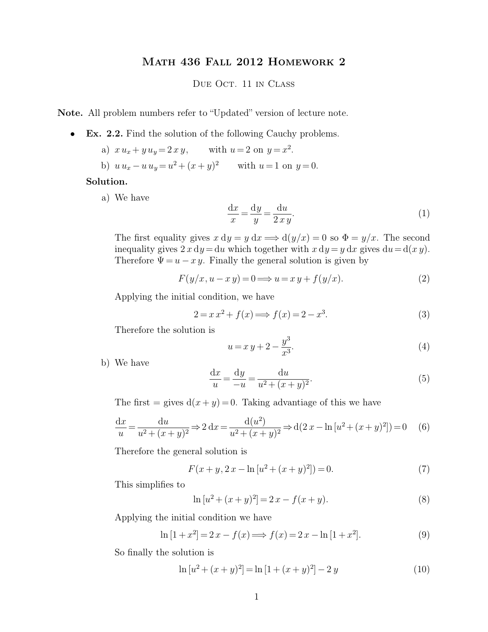## Math 436 Fall 2012 Homework 2

## DUE OCT. 11 IN CLASS

**Note.** All problem numbers refer to "Updated" version of lecture note.

- **Ex. 2.2.** Find the solution of the following Cauchy problems.
	- a)  $x u_x + y u_y = 2 x y$ , with  $u = 2$  on  $y = x^2$ . b)  $u u_x - u u_y = u^2 + (x + y)^2$  with  $u = 1$  on  $y = 0$ .

## **Solution.**

a) We have

$$
\frac{\mathrm{d}x}{x} = \frac{\mathrm{d}y}{y} = \frac{\mathrm{d}u}{2xy}.\tag{1}
$$

The first equality gives  $x dy = y dx \Longrightarrow d(y/x) = 0$  so  $\Phi = y/x$ . The second inequality gives  $2 x dy = du$  which together with  $x dy = y dx$  gives  $du = d(x y)$ . Therefore  $\Psi = u - x y$ . Finally the general solution is given by

$$
F(y/x, u - x y) = 0 \Longrightarrow u = x y + f(y/x).
$$
 (2)

Applying the initial condition, we have

$$
2 = x x2 + f(x) \Longrightarrow f(x) = 2 - x3.
$$
 (3)

Therefore the solution is

$$
u = x y + 2 - \frac{y^3}{x^3}.
$$
\n(4)

b) We have

$$
\frac{dx}{u} = \frac{dy}{-u} = \frac{du}{u^2 + (x+y)^2}.
$$
\n(5)

The first = gives  $d(x + y) = 0$ . Taking advantiage of this we have

$$
\frac{dx}{u} = \frac{du}{u^2 + (x+y)^2} \Rightarrow 2 dx = \frac{d(u^2)}{u^2 + (x+y)^2} \Rightarrow d(2x - \ln[u^2 + (x+y)^2]) = 0
$$
 (6)

Therefore the general solution is

$$
F(x+y, 2x - \ln[u^2 + (x+y)^2]) = 0.
$$
 (7)

This simplifies to

$$
\ln [u^2 + (x+y)^2] = 2x - f(x+y).
$$
\n(8)

Applying the initial condition we have

$$
\ln[1+x^2] = 2x - f(x) \Longrightarrow f(x) = 2x - \ln[1+x^2].
$$
\n(9)

So finally the solution is

$$
\ln [u^2 + (x+y)^2] = \ln [1 + (x+y)^2] - 2y \tag{10}
$$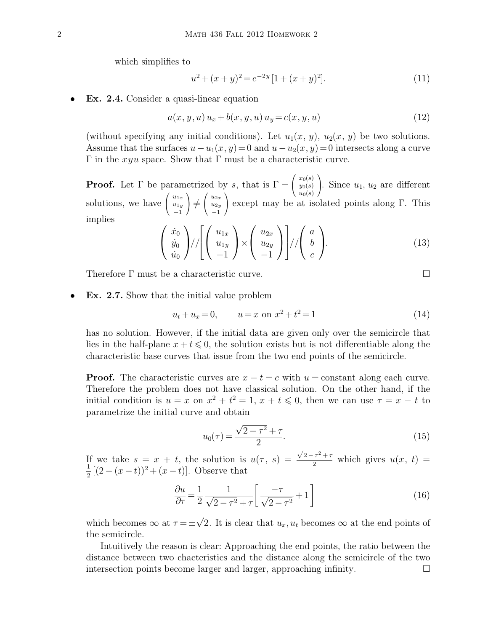which simplifies to

$$
u^{2} + (x+y)^{2} = e^{-2y} [1 + (x+y)^{2}].
$$
\n(11)

**Ex. 2.4.** Consider a quasi-linear equation

$$
a(x, y, u) u_x + b(x, y, u) u_y = c(x, y, u)
$$
\n(12)

(without specifying any initial conditions). Let  $u_1(x, y)$ ,  $u_2(x, y)$  be two solutions. Assume that the surfaces  $u - u_1(x, y) = 0$  and  $u - u_2(x, y) = 0$  intersects along a curve Γ in the  $xyu$  space. Show that Γ must be a characteristic curve.

**Proof.** Let  $\Gamma$  be parametrized by s, that is  $\Gamma = \left( \begin{array}{c} 1 \end{array} \right)$  $\overline{1}$  $x_0(s)$  $y_0(s)$  $u_0(s)$ ). Since  $u_1, u_2$  are different solutions, we have  $\left( \right.$  $\mathcal{L}$  $u_{1x}$  $u_{1y}$ −1  $\setminus$  $\top$  $\sqrt{ }$  $\overline{1}$  $u_{2x}$  $u_{2y}$ −1 except may be at isolated points along Γ. This implies

$$
\begin{pmatrix} \dot{x}_0 \\ \dot{y}_0 \\ \dot{u}_0 \end{pmatrix} / / \left[ \begin{pmatrix} u_{1x} \\ u_{1y} \\ -1 \end{pmatrix} \times \begin{pmatrix} u_{2x} \\ u_{2y} \\ -1 \end{pmatrix} \right] / / \begin{pmatrix} a \\ b \\ c \end{pmatrix} . \tag{13}
$$

Therefore Γ must be a characteristic curve.

• **Ex. 2.7.** Show that the initial value problem

$$
u_t + u_x = 0, \qquad u = x \text{ on } x^2 + t^2 = 1 \tag{14}
$$

has no solution. However, if the initial data are given only over the semicircle that lies in the half-plane  $x + t \leq 0$ , the solution exists but is not differentiable along the characteristic base curves that issue from the two end points of the semicircle.

**Proof.** The characteristic curves are  $x - t = c$  with  $u = constant$  along each curve. Therefore the problem does not have classical solution. On the other hand, if the initial condition is  $u = x$  on  $x^2 + t^2 = 1$ ,  $x + t \le 0$ , then we can use  $\tau = x - t$  to parametrize the initial curve and obtain

$$
u_0(\tau) = \frac{\sqrt{2 - \tau^2} + \tau}{2}.
$$
\n(15)

If we take  $s = x + t$ , the solution is  $u(\tau, s) = \frac{\sqrt{2-\tau^2} + \tau^2}{2}$ If we take  $s = x + t$ , the solution is  $u(\tau, s) = \frac{\sqrt{2 - \tau^2 + \tau^2}}{2}$  which gives  $u(x, t) =$  $\frac{1}{2}[(2-(x-t))^2+(x-t)]$ . Observe that

$$
\frac{\partial u}{\partial \tau} = \frac{1}{2} \frac{1}{\sqrt{2 - \tau^2} + \tau} \left[ \frac{-\tau}{\sqrt{2 - \tau^2}} + 1 \right]
$$
(16)

which becomes  $\infty$  at  $\tau = \pm \sqrt{2}$ . It is clear that  $u_x, u_t$  becomes  $\infty$  at the end points of the semicircle.

Intuitively the reason is clear: Approaching the end points, the ratio between the distance between two chacteristics and the distance along the semicircle of the two intersection points become larger and larger, approaching infinity.

$$
\Box
$$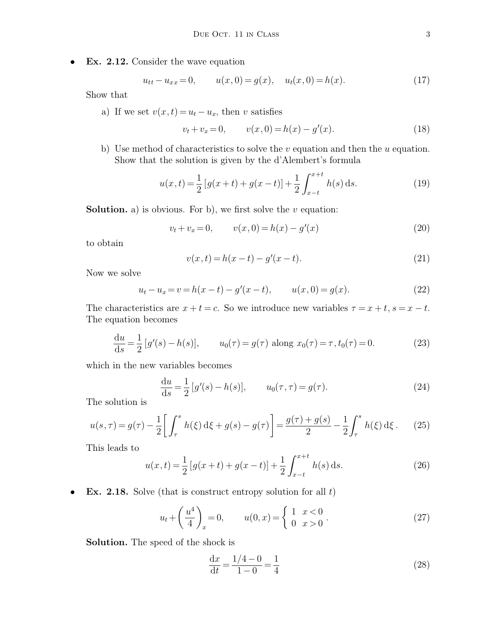• **Ex. 2.12.** Consider the wave equation

$$
u_{tt} - u_{xx} = 0, \t u(x, 0) = g(x), \t u_t(x, 0) = h(x). \t(17)
$$

Show that

a) If we set  $v(x, t) = u_t - u_x$ , then v satisfies

$$
v_t + v_x = 0, \qquad v(x, 0) = h(x) - g'(x). \tag{18}
$$

b) Use method of characteristics to solve the  $v$  equation and then the  $u$  equation. Show that the solution is given by the d'Alembert's formula

$$
u(x,t) = \frac{1}{2} \left[ g(x+t) + g(x-t) \right] + \frac{1}{2} \int_{x-t}^{x+t} h(s) \, ds. \tag{19}
$$

**Solution.** a) is obvious. For b), we first solve the  $v$  equation:

$$
v_t + v_x = 0, \qquad v(x, 0) = h(x) - g'(x)
$$
\n(20)

to obtain

$$
v(x,t) = h(x-t) - g'(x-t).
$$
\n(21)

Now we solve

$$
u_t - u_x = v = h(x - t) - g'(x - t), \qquad u(x, 0) = g(x). \tag{22}
$$

The characteristics are  $x + t = c$ . So we introduce new variables  $\tau = x + t$ ,  $s = x - t$ . The equation becomes

$$
\frac{du}{ds} = \frac{1}{2} [g'(s) - h(s)], \qquad u_0(\tau) = g(\tau) \text{ along } x_0(\tau) = \tau, t_0(\tau) = 0.
$$
 (23)

which in the new variables becomes

$$
\frac{du}{ds} = \frac{1}{2} [g'(s) - h(s)], \qquad u_0(\tau, \tau) = g(\tau). \tag{24}
$$

The solution is

$$
u(s,\tau) = g(\tau) - \frac{1}{2} \left[ \int_{\tau}^{s} h(\xi) \,d\xi + g(s) - g(\tau) \right] = \frac{g(\tau) + g(s)}{2} - \frac{1}{2} \int_{\tau}^{s} h(\xi) \,d\xi. \tag{25}
$$

This leads to

$$
u(x,t) = \frac{1}{2} \left[ g(x+t) + g(x-t) \right] + \frac{1}{2} \int_{x-t}^{x+t} h(s) \, ds. \tag{26}
$$

• **Ex. 2.18.** Solve (that is construct entropy solution for all t)

$$
u_t + \left(\frac{u^4}{4}\right)_x = 0, \qquad u(0, x) = \begin{cases} 1 & x < 0 \\ 0 & x > 0 \end{cases} \tag{27}
$$

**Solution.** The speed of the shock is

$$
\frac{dx}{dt} = \frac{1/4 - 0}{1 - 0} = \frac{1}{4}
$$
\n(28)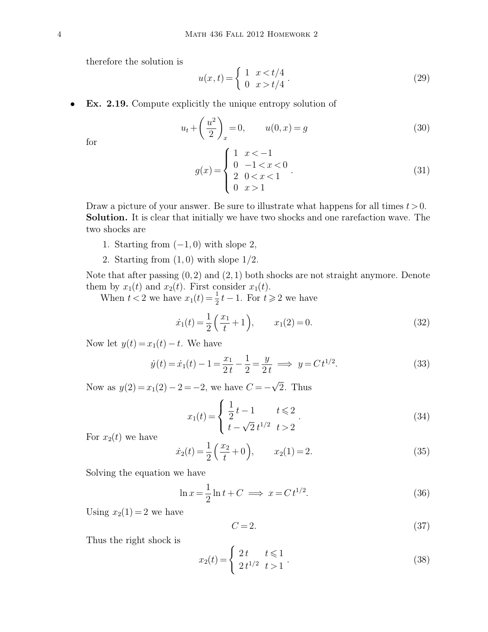therefore the solution is

$$
u(x,t) = \begin{cases} 1 & x < t/4 \\ 0 & x > t/4 \end{cases} . \tag{29}
$$

• **Ex. 2.19.** Compute explicitly the unique entropy solution of

$$
u_t + \left(\frac{u^2}{2}\right)_x = 0, \qquad u(0, x) = g \tag{30}
$$

for

$$
g(x) = \begin{cases} 1 & x < -1 \\ 0 & -1 < x < 0 \\ 2 & 0 < x < 1 \\ 0 & x > 1 \end{cases} \tag{31}
$$

Draw a picture of your answer. Be sure to illustrate what happens for all times  $t > 0$ . **Solution.** It is clear that initially we have two shocks and one rarefaction wave. The two shocks are

- 1. Starting from  $(-1, 0)$  with slope 2,
- 2. Starting from  $(1,0)$  with slope  $1/2$ .

Note that after passing  $(0, 2)$  and  $(2, 1)$  both shocks are not straight anymore. Denote them by  $x_1(t)$  and  $x_2(t)$ . First consider  $x_1(t)$ .

When  $t < 2$  we have  $x_1(t) = \frac{1}{2}t - 1$ . For  $t \ge 2$  we have

$$
\dot{x}_1(t) = \frac{1}{2} \left( \frac{x_1}{t} + 1 \right), \qquad x_1(2) = 0. \tag{32}
$$

Now let  $y(t) = x_1(t) - t$ . We have

$$
\dot{y}(t) = \dot{x}_1(t) - 1 = \frac{x_1}{2t} - \frac{1}{2} = \frac{y}{2t} \implies y = Ct^{1/2}.
$$
\n(33)

Now as  $y(2) = x_1(2) - 2 = -2$ , we have  $C = -\sqrt{2}$ . Thus

$$
x_1(t) = \begin{cases} \frac{1}{2}t - 1 & t \leq 2 \\ t - \sqrt{2}t^{1/2} & t > 2 \end{cases}.
$$
 (34)

For  $x_2(t)$  we have

$$
\dot{x}_2(t) = \frac{1}{2} \left( \frac{x_2}{t} + 0 \right), \qquad x_2(1) = 2. \tag{35}
$$

Solving the equation we have

$$
\ln x = \frac{1}{2}\ln t + C \implies x = Ct^{1/2}.
$$
\n(36)

Using  $x_2(1) = 2$  we have

$$
C = 2.\t\t(37)
$$

Thus the right shock is

$$
x_2(t) = \begin{cases} 2t & t \le 1 \\ 2t^{1/2} & t > 1 \end{cases}.
$$
 (38)